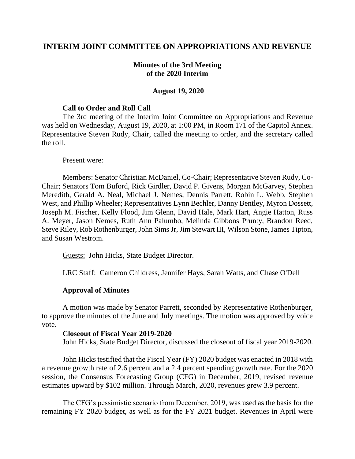# **INTERIM JOINT COMMITTEE ON APPROPRIATIONS AND REVENUE**

# **Minutes of the 3rd Meeting of the 2020 Interim**

### **August 19, 2020**

## **Call to Order and Roll Call**

The 3rd meeting of the Interim Joint Committee on Appropriations and Revenue was held on Wednesday, August 19, 2020, at 1:00 PM, in Room 171 of the Capitol Annex. Representative Steven Rudy, Chair, called the meeting to order, and the secretary called the roll.

### Present were:

Members: Senator Christian McDaniel, Co-Chair; Representative Steven Rudy, Co-Chair; Senators Tom Buford, Rick Girdler, David P. Givens, Morgan McGarvey, Stephen Meredith, Gerald A. Neal, Michael J. Nemes, Dennis Parrett, Robin L. Webb, Stephen West, and Phillip Wheeler; Representatives Lynn Bechler, Danny Bentley, Myron Dossett, Joseph M. Fischer, Kelly Flood, Jim Glenn, David Hale, Mark Hart, Angie Hatton, Russ A. Meyer, Jason Nemes, Ruth Ann Palumbo, Melinda Gibbons Prunty, Brandon Reed, Steve Riley, Rob Rothenburger, John Sims Jr, Jim Stewart III, Wilson Stone, James Tipton, and Susan Westrom.

Guests: John Hicks, State Budget Director.

LRC Staff: Cameron Childress, Jennifer Hays, Sarah Watts, and Chase O'Dell

# **Approval of Minutes**

A motion was made by Senator Parrett, seconded by Representative Rothenburger, to approve the minutes of the June and July meetings. The motion was approved by voice vote.

### **Closeout of Fiscal Year 2019-2020**

John Hicks, State Budget Director, discussed the closeout of fiscal year 2019-2020.

John Hicks testified that the Fiscal Year (FY) 2020 budget was enacted in 2018 with a revenue growth rate of 2.6 percent and a 2.4 percent spending growth rate. For the 2020 session, the Consensus Forecasting Group (CFG) in December, 2019, revised revenue estimates upward by \$102 million. Through March, 2020, revenues grew 3.9 percent.

The CFG's pessimistic scenario from December, 2019, was used as the basis for the remaining FY 2020 budget, as well as for the FY 2021 budget. Revenues in April were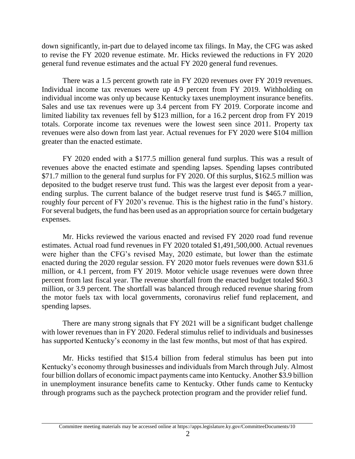down significantly, in-part due to delayed income tax filings. In May, the CFG was asked to revise the FY 2020 revenue estimate. Mr. Hicks reviewed the reductions in FY 2020 general fund revenue estimates and the actual FY 2020 general fund revenues.

There was a 1.5 percent growth rate in FY 2020 revenues over FY 2019 revenues. Individual income tax revenues were up 4.9 percent from FY 2019. Withholding on individual income was only up because Kentucky taxes unemployment insurance benefits. Sales and use tax revenues were up 3.4 percent from FY 2019. Corporate income and limited liability tax revenues fell by \$123 million, for a 16.2 percent drop from FY 2019 totals. Corporate income tax revenues were the lowest seen since 2011. Property tax revenues were also down from last year. Actual revenues for FY 2020 were \$104 million greater than the enacted estimate.

FY 2020 ended with a \$177.5 million general fund surplus. This was a result of revenues above the enacted estimate and spending lapses. Spending lapses contributed \$71.7 million to the general fund surplus for FY 2020. Of this surplus, \$162.5 million was deposited to the budget reserve trust fund. This was the largest ever deposit from a yearending surplus. The current balance of the budget reserve trust fund is \$465.7 million, roughly four percent of FY 2020's revenue. This is the highest ratio in the fund's history. For several budgets, the fund has been used as an appropriation source for certain budgetary expenses.

Mr. Hicks reviewed the various enacted and revised FY 2020 road fund revenue estimates. Actual road fund revenues in FY 2020 totaled \$1,491,500,000. Actual revenues were higher than the CFG's revised May, 2020 estimate, but lower than the estimate enacted during the 2020 regular session. FY 2020 motor fuels revenues were down \$31.6 million, or 4.1 percent, from FY 2019. Motor vehicle usage revenues were down three percent from last fiscal year. The revenue shortfall from the enacted budget totaled \$60.3 million, or 3.9 percent. The shortfall was balanced through reduced revenue sharing from the motor fuels tax with local governments, coronavirus relief fund replacement, and spending lapses.

There are many strong signals that FY 2021 will be a significant budget challenge with lower revenues than in FY 2020. Federal stimulus relief to individuals and businesses has supported Kentucky's economy in the last few months, but most of that has expired.

Mr. Hicks testified that \$15.4 billion from federal stimulus has been put into Kentucky's economy through businesses and individuals from March through July. Almost four billion dollars of economic impact payments came into Kentucky. Another \$3.9 billion in unemployment insurance benefits came to Kentucky. Other funds came to Kentucky through programs such as the paycheck protection program and the provider relief fund.

Committee meeting materials may be accessed online at https://apps.legislature.ky.gov/CommitteeDocuments/10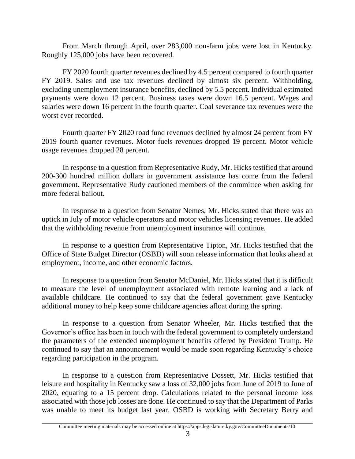From March through April, over 283,000 non-farm jobs were lost in Kentucky. Roughly 125,000 jobs have been recovered.

FY 2020 fourth quarter revenues declined by 4.5 percent compared to fourth quarter FY 2019. Sales and use tax revenues declined by almost six percent. Withholding, excluding unemployment insurance benefits, declined by 5.5 percent. Individual estimated payments were down 12 percent. Business taxes were down 16.5 percent. Wages and salaries were down 16 percent in the fourth quarter. Coal severance tax revenues were the worst ever recorded.

Fourth quarter FY 2020 road fund revenues declined by almost 24 percent from FY 2019 fourth quarter revenues. Motor fuels revenues dropped 19 percent. Motor vehicle usage revenues dropped 28 percent.

In response to a question from Representative Rudy, Mr. Hicks testified that around 200-300 hundred million dollars in government assistance has come from the federal government. Representative Rudy cautioned members of the committee when asking for more federal bailout.

In response to a question from Senator Nemes, Mr. Hicks stated that there was an uptick in July of motor vehicle operators and motor vehicles licensing revenues. He added that the withholding revenue from unemployment insurance will continue.

In response to a question from Representative Tipton, Mr. Hicks testified that the Office of State Budget Director (OSBD) will soon release information that looks ahead at employment, income, and other economic factors.

In response to a question from Senator McDaniel, Mr. Hicks stated that it is difficult to measure the level of unemployment associated with remote learning and a lack of available childcare. He continued to say that the federal government gave Kentucky additional money to help keep some childcare agencies afloat during the spring.

In response to a question from Senator Wheeler, Mr. Hicks testified that the Governor's office has been in touch with the federal government to completely understand the parameters of the extended unemployment benefits offered by President Trump. He continued to say that an announcement would be made soon regarding Kentucky's choice regarding participation in the program.

In response to a question from Representative Dossett, Mr. Hicks testified that leisure and hospitality in Kentucky saw a loss of 32,000 jobs from June of 2019 to June of 2020, equating to a 15 percent drop. Calculations related to the personal income loss associated with those job losses are done. He continued to say that the Department of Parks was unable to meet its budget last year. OSBD is working with Secretary Berry and